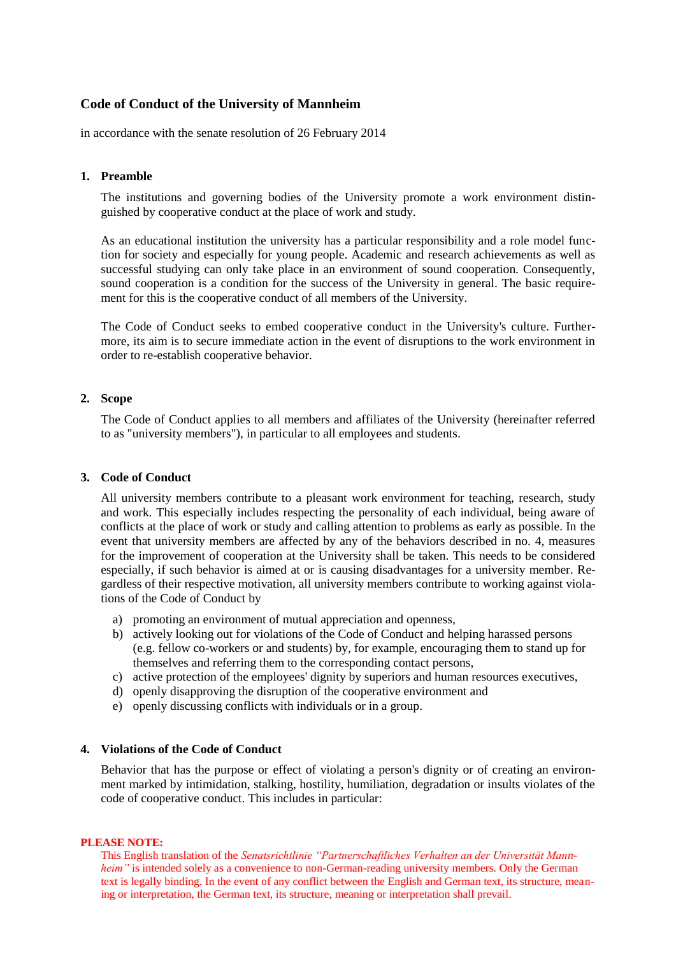# **Code of Conduct of the University of Mannheim**

in accordance with the senate resolution of 26 February 2014

# **1. Preamble**

The institutions and governing bodies of the University promote a work environment distinguished by cooperative conduct at the place of work and study.

As an educational institution the university has a particular responsibility and a role model function for society and especially for young people. Academic and research achievements as well as successful studying can only take place in an environment of sound cooperation. Consequently, sound cooperation is a condition for the success of the University in general. The basic requirement for this is the cooperative conduct of all members of the University.

The Code of Conduct seeks to embed cooperative conduct in the University's culture. Furthermore, its aim is to secure immediate action in the event of disruptions to the work environment in order to re-establish cooperative behavior.

# **2. Scope**

The Code of Conduct applies to all members and affiliates of the University (hereinafter referred to as "university members"), in particular to all employees and students.

## **3. Code of Conduct**

All university members contribute to a pleasant work environment for teaching, research, study and work. This especially includes respecting the personality of each individual, being aware of conflicts at the place of work or study and calling attention to problems as early as possible. In the event that university members are affected by any of the behaviors described in no. 4, measures for the improvement of cooperation at the University shall be taken. This needs to be considered especially, if such behavior is aimed at or is causing disadvantages for a university member. Regardless of their respective motivation, all university members contribute to working against violations of the Code of Conduct by

- a) promoting an environment of mutual appreciation and openness,
- b) actively looking out for violations of the Code of Conduct and helping harassed persons (e.g. fellow co-workers or and students) by, for example, encouraging them to stand up for themselves and referring them to the corresponding contact persons,
- c) active protection of the employees' dignity by superiors and human resources executives,
- d) openly disapproving the disruption of the cooperative environment and
- e) openly discussing conflicts with individuals or in a group.

### **4. Violations of the Code of Conduct**

Behavior that has the purpose or effect of violating a person's dignity or of creating an environment marked by intimidation, stalking, hostility, humiliation, degradation or insults violates of the code of cooperative conduct. This includes in particular:

### **PLEASE NOTE:**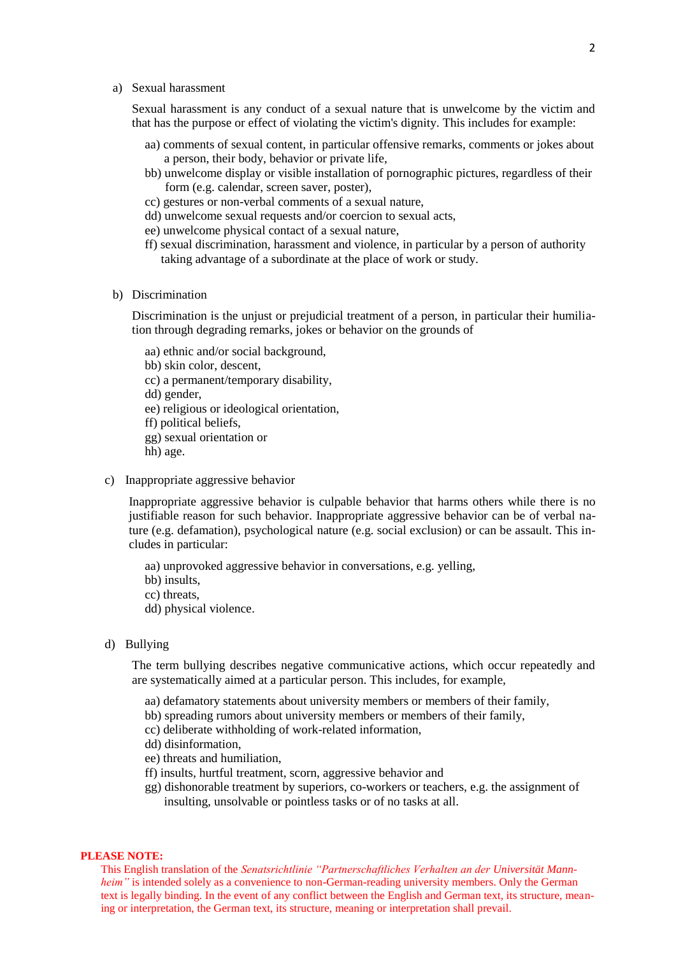a) Sexual harassment

Sexual harassment is any conduct of a sexual nature that is unwelcome by the victim and that has the purpose or effect of violating the victim's dignity. This includes for example:

- aa) comments of sexual content, in particular offensive remarks, comments or jokes about a person, their body, behavior or private life,
- bb) unwelcome display or visible installation of pornographic pictures, regardless of their form (e.g. calendar, screen saver, poster),
- cc) gestures or non-verbal comments of a sexual nature,
- dd) unwelcome sexual requests and/or coercion to sexual acts,
- ee) unwelcome physical contact of a sexual nature,
- ff) sexual discrimination, harassment and violence, in particular by a person of authority taking advantage of a subordinate at the place of work or study.
- b) Discrimination

Discrimination is the unjust or prejudicial treatment of a person, in particular their humiliation through degrading remarks, jokes or behavior on the grounds of

- aa) ethnic and/or social background,
- bb) skin color, descent,
- cc) a permanent/temporary disability,
- dd) gender,
- ee) religious or ideological orientation,
- ff) political beliefs,
- gg) sexual orientation or
- hh) age.
- c) Inappropriate aggressive behavior

Inappropriate aggressive behavior is culpable behavior that harms others while there is no justifiable reason for such behavior. Inappropriate aggressive behavior can be of verbal nature (e.g. defamation), psychological nature (e.g. social exclusion) or can be assault. This includes in particular:

- aa) unprovoked aggressive behavior in conversations, e.g. yelling,
- bb) insults,
- cc) threats,
- dd) physical violence.
- d) Bullying

The term bullying describes negative communicative actions, which occur repeatedly and are systematically aimed at a particular person. This includes, for example,

- aa) defamatory statements about university members or members of their family,
- bb) spreading rumors about university members or members of their family,
- cc) deliberate withholding of work-related information,
- dd) disinformation,
- ee) threats and humiliation,
- ff) insults, hurtful treatment, scorn, aggressive behavior and
- gg) dishonorable treatment by superiors, co-workers or teachers, e.g. the assignment of insulting, unsolvable or pointless tasks or of no tasks at all.

#### **PLEASE NOTE:**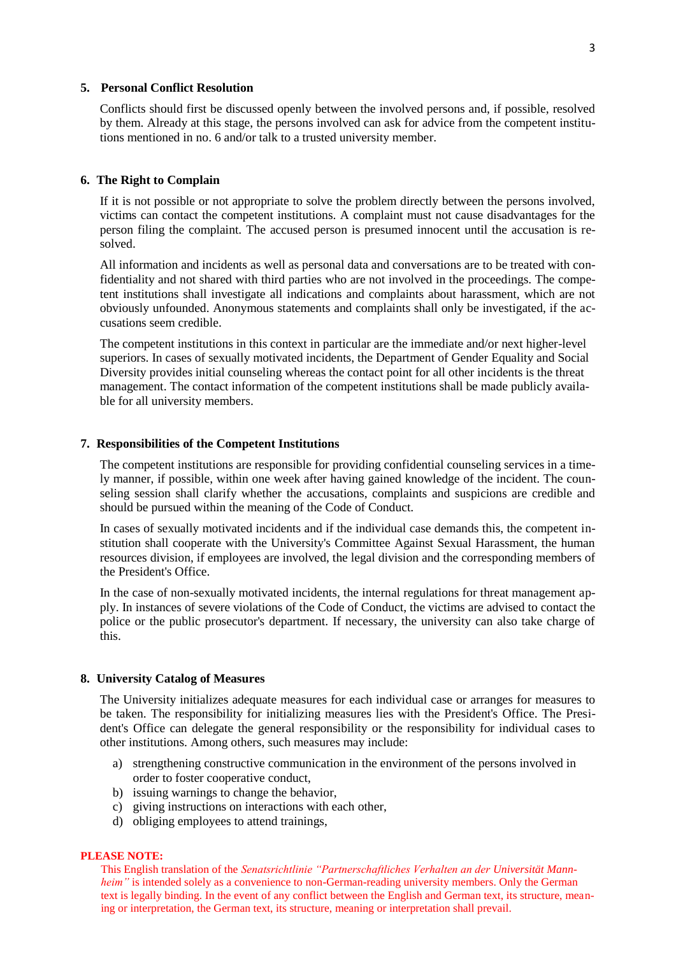# **5. Personal Conflict Resolution**

Conflicts should first be discussed openly between the involved persons and, if possible, resolved by them. Already at this stage, the persons involved can ask for advice from the competent institutions mentioned in no. 6 and/or talk to a trusted university member.

# **6. The Right to Complain**

If it is not possible or not appropriate to solve the problem directly between the persons involved, victims can contact the competent institutions. A complaint must not cause disadvantages for the person filing the complaint. The accused person is presumed innocent until the accusation is resolved.

All information and incidents as well as personal data and conversations are to be treated with confidentiality and not shared with third parties who are not involved in the proceedings. The competent institutions shall investigate all indications and complaints about harassment, which are not obviously unfounded. Anonymous statements and complaints shall only be investigated, if the accusations seem credible.

The competent institutions in this context in particular are the immediate and/or next higher-level superiors. In cases of sexually motivated incidents, the Department of Gender Equality and Social Diversity provides initial counseling whereas the contact point for all other incidents is the threat management. The contact information of the competent institutions shall be made publicly available for all university members.

## **7. Responsibilities of the Competent Institutions**

The competent institutions are responsible for providing confidential counseling services in a timely manner, if possible, within one week after having gained knowledge of the incident. The counseling session shall clarify whether the accusations, complaints and suspicions are credible and should be pursued within the meaning of the Code of Conduct.

In cases of sexually motivated incidents and if the individual case demands this, the competent institution shall cooperate with the University's Committee Against Sexual Harassment, the human resources division, if employees are involved, the legal division and the corresponding members of the President's Office.

In the case of non-sexually motivated incidents, the internal regulations for threat management apply. In instances of severe violations of the Code of Conduct, the victims are advised to contact the police or the public prosecutor's department. If necessary, the university can also take charge of this.

### **8. University Catalog of Measures**

The University initializes adequate measures for each individual case or arranges for measures to be taken. The responsibility for initializing measures lies with the President's Office. The President's Office can delegate the general responsibility or the responsibility for individual cases to other institutions. Among others, such measures may include:

- a) strengthening constructive communication in the environment of the persons involved in order to foster cooperative conduct,
- b) issuing warnings to change the behavior,
- c) giving instructions on interactions with each other,
- d) obliging employees to attend trainings,

### **PLEASE NOTE:**